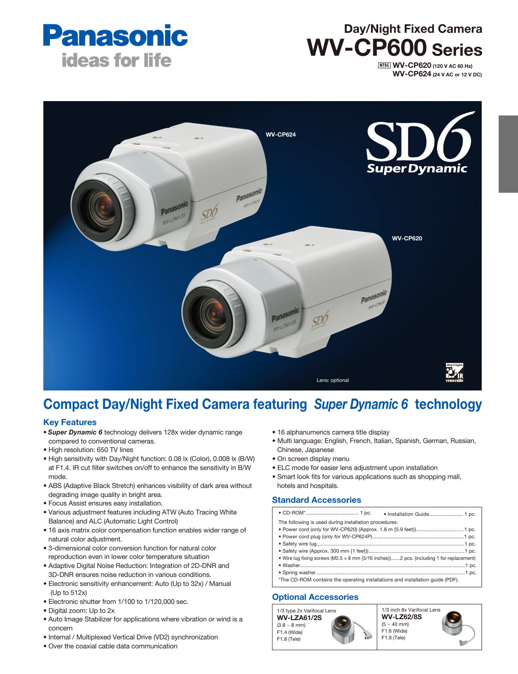

# Day/Night Fixed Camera WV-CP600 Series

**NTSC WV-CP620** (120 V AC 60 Hz) WV-CP624 (24 V AC or 12 V DC)



# Compact Day/Night Fixed Camera featuring *Super Dynamic 6* technology

#### Key Features

- *Super Dynamic 6* technology delivers 128x wider dynamic range compared to conventional cameras.
- High resolution: 650 TV lines
- High sensitivity with Day/Night function: 0.08 lx (Color), 0.008 lx (B/W) at F1.4. IR cut filter switches on/off to enhance the sensitivity in B/W mode.
- ABS (Adaptive Black Stretch) enhances visibility of dark area without degrading image quality in bright area.
- Focus Assist ensures easy installation.
- Various adjustment features including ATW (Auto Tracing White Balance) and ALC (Automatic Light Control)
- 16 axis matrix color compensation function enables wider range of natural color adjustment.
- 3-dimensional color conversion function for natural color reproduction even in lower color temperature situation
- Adaptive Digital Noise Reduction: Integration of 2D-DNR and 3D-DNR ensures noise reduction in various conditions.
- Electronic sensitivity enhancement: Auto (Up to 32x) / Manual (Up to 512x)
- Electronic shutter from 1/100 to 1/120,000 sec.
- Digital zoom: Up to 2x
- Auto Image Stabilizer for applications where vibration or wind is a concern
- Internal / Multiplexed Vertical Drive (VD2) synchronization
- Over the coaxial cable data communication
- 16 alphanumerics camera title display
- Multi language: English, French, Italian, Spanish, German, Russian, Chinese, Japanese
- On screen display menu
- ELC mode for easier lens adjustment upon installation
- Smart look fits for various applications such as shopping mall, hotels and hospitals.

# Standard Accessories

|                                                                                          | · Installation Guide 1 pc. |  |  |  |
|------------------------------------------------------------------------------------------|----------------------------|--|--|--|
| The following is used during installation procedures:                                    |                            |  |  |  |
|                                                                                          |                            |  |  |  |
|                                                                                          |                            |  |  |  |
|                                                                                          |                            |  |  |  |
|                                                                                          |                            |  |  |  |
| • Wire lug fixing screws (M2.5 x 8 mm {5/16 inches})2 pcs. (including 1 for replacement) |                            |  |  |  |
|                                                                                          |                            |  |  |  |
|                                                                                          |                            |  |  |  |
| *The CD-ROM contains the operating installations and installation quide (PDF).           |                            |  |  |  |
|                                                                                          |                            |  |  |  |

## Optional Accessories